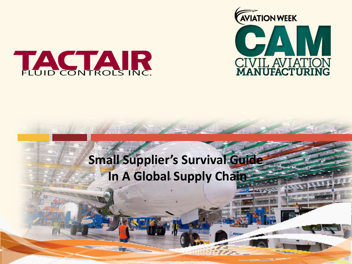



## **Small Supplier's Survival Guide In A Global Supply Chain**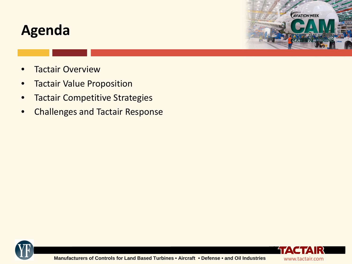#### **Agenda**

**AVIATION WEEK** 

- **Tactair Overview**
- Tactair Value Proposition
- **Tactair Competitive Strategies**
- Challenges and Tactair Response



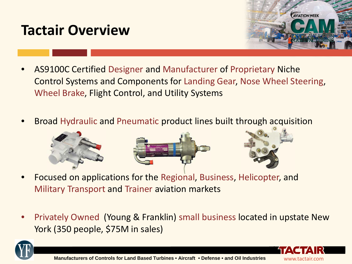## **Tactair Overview**



- AS9100C Certified Designer and Manufacturer of Proprietary Niche Control Systems and Components for Landing Gear, Nose Wheel Steering, Wheel Brake, Flight Control, and Utility Systems
- Broad Hydraulic and Pneumatic product lines built through acquisition



- Focused on applications for the Regional, Business, Helicopter, and Military Transport and Trainer aviation markets
- Privately Owned (Young & Franklin) small business located in upstate New York (350 people, \$75M in sales)



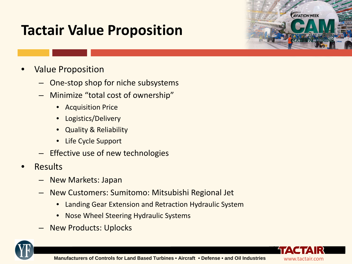# **Tactair Value Proposition**



- One-stop shop for niche subsystems
- Minimize "total cost of ownership"
	- Acquisition Price
	- Logistics/Delivery
	- Quality & Reliability
	- Life Cycle Support
- Effective use of new technologies
- Results
	- New Markets: Japan
	- New Customers: Sumitomo: Mitsubishi Regional Jet
		- Landing Gear Extension and Retraction Hydraulic System
		- Nose Wheel Steering Hydraulic Systems
	- New Products: Uplocks





**AVIATION WEEK**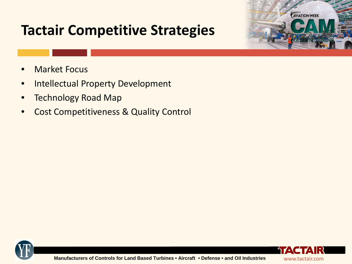- **Market Focus**
- Intellectual Property Development
- Technology Road Map
- Cost Competitiveness & Quality Control





**AVIATION WEEK**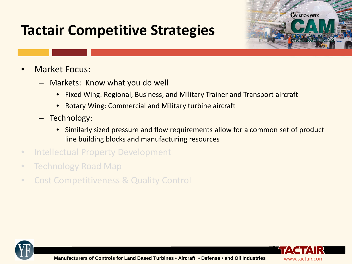

- Markets: Know what you do well
	- Fixed Wing: Regional, Business, and Military Trainer and Transport aircraft
	- Rotary Wing: Commercial and Military turbine aircraft
- Technology:
	- Similarly sized pressure and flow requirements allow for a common set of product line building blocks and manufacturing resources
- Intellectual Property Development
- Technology Road Map
- Cost Competitiveness & Quality Control





**AVIATION WEEK**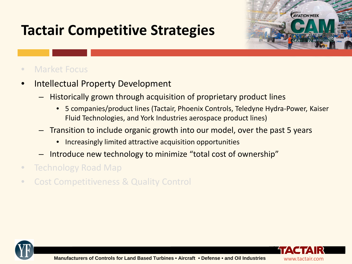

- Intellectual Property Development
	- Historically grown through acquisition of proprietary product lines
		- 5 companies/product lines (Tactair, Phoenix Controls, Teledyne Hydra-Power, Kaiser Fluid Technologies, and York Industries aerospace product lines)
	- Transition to include organic growth into our model, over the past 5 years
		- Increasingly limited attractive acquisition opportunities
	- Introduce new technology to minimize "total cost of ownership"
- Technology Road Map
- Cost Competitiveness & Quality Control





**AVIATION WEEK**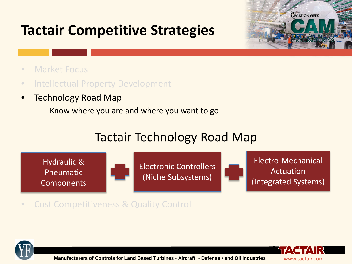

- Market Focus
- Intellectual Property Development
- Technology Road Map
	- Know where you are and where you want to go

#### Tactair Technology Road Map



• Cost Competitiveness & Quality Control



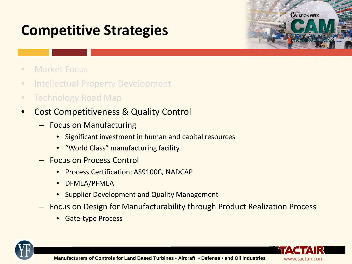# **Competitive Strategies**



- Market Focus
- Intellectual Property Development
- Technology Road Map
- Cost Competitiveness & Quality Control
	- Focus on Manufacturing
		- Significant investment in human and capital resources
		- "World Class" manufacturing facility
	- Focus on Process Control
		- Process Certification: AS9100C, NADCAP
		- DFMEA/PFMEA
		- Supplier Development and Quality Management
	- Focus on Design for Manufacturability through Product Realization Process
		- Gate-type Process



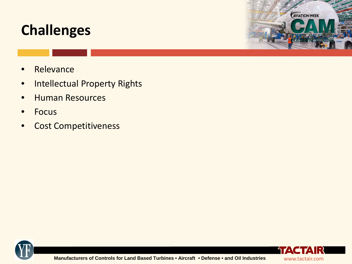**AVIATION WEEK** 

- Relevance
- Intellectual Property Rights
- Human Resources
- Focus
- Cost Competitiveness



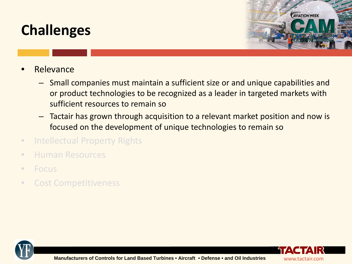

- Relevance
	- Small companies must maintain a sufficient size or and unique capabilities and or product technologies to be recognized as a leader in targeted markets with sufficient resources to remain so
	- Tactair has grown through acquisition to a relevant market position and now is focused on the development of unique technologies to remain so
- Intellectual Property Rights
- Human Resources
- Focus
- Cost Competitiveness



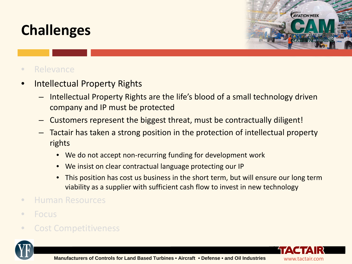

#### • Relevance

- Intellectual Property Rights
	- Intellectual Property Rights are the life's blood of a small technology driven company and IP must be protected
	- Customers represent the biggest threat, must be contractually diligent!
	- Tactair has taken a strong position in the protection of intellectual property rights
		- We do not accept non-recurring funding for development work
		- We insist on clear contractual language protecting our IP
		- This position has cost us business in the short term, but will ensure our long term viability as a supplier with sufficient cash flow to invest in new technology
- Human Resources
- Focus
- Cost Competitiveness



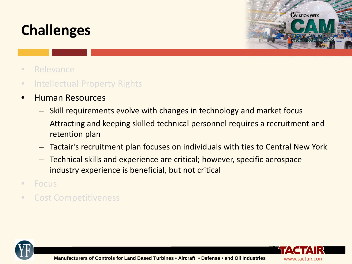

- Relevance
- Intellectual Property Rights
- Human Resources
	- Skill requirements evolve with changes in technology and market focus
	- Attracting and keeping skilled technical personnel requires a recruitment and retention plan
	- Tactair's recruitment plan focuses on individuals with ties to Central New York
	- Technical skills and experience are critical; however, specific aerospace industry experience is beneficial, but not critical
- Focus
- Cost Competitiveness



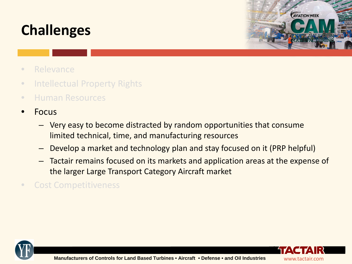

- Relevance
- Intellectual Property Rights
- Human Resources
- Focus
	- Very easy to become distracted by random opportunities that consume limited technical, time, and manufacturing resources
	- Develop a market and technology plan and stay focused on it (PRP helpful)
	- Tactair remains focused on its markets and application areas at the expense of the larger Large Transport Category Aircraft market
- Cost Competitiveness



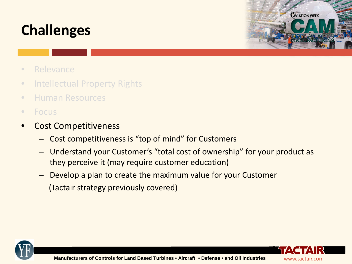

- Relevance
- Intellectual Property Rights
- Human Resources
- Focus
- Cost Competitiveness
	- Cost competitiveness is "top of mind" for Customers
	- Understand your Customer's "total cost of ownership" for your product as they perceive it (may require customer education)
	- Develop a plan to create the maximum value for your Customer (Tactair strategy previously covered)



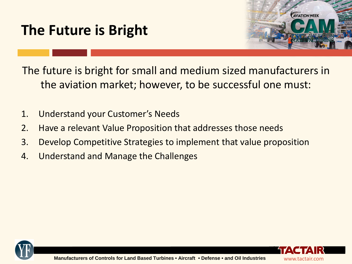# **The Future is Bright**



The future is bright for small and medium sized manufacturers in the aviation market; however, to be successful one must:

- 1. Understand your Customer's Needs
- 2. Have a relevant Value Proposition that addresses those needs
- 3. Develop Competitive Strategies to implement that value proposition
- 4. Understand and Manage the Challenges